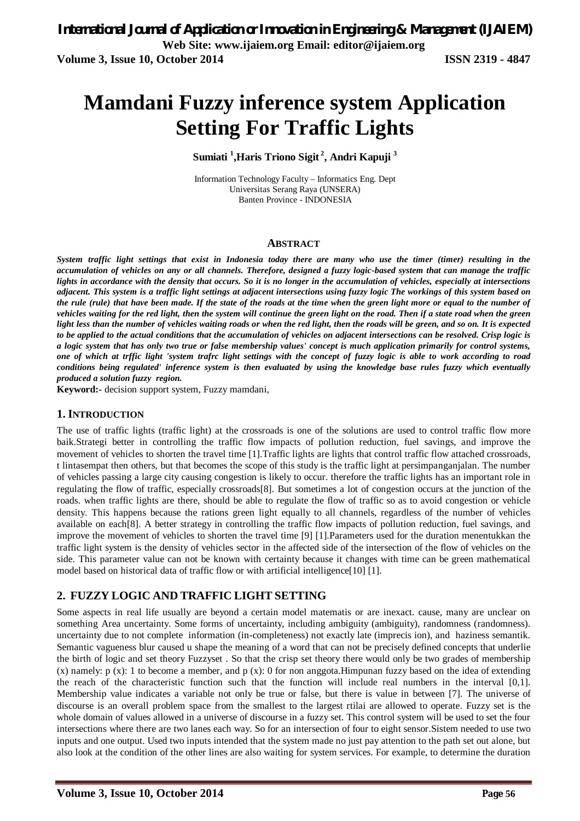# **Mamdani Fuzzy inference system Application Setting For Traffic Lights**

**Sumiati <sup>1</sup> ,Haris Triono Sigit <sup>2</sup> , Andri Kapuji <sup>3</sup>**

Information Technology Faculty – Informatics Eng. Dept Universitas Serang Raya (UNSERA) Banten Province - INDONESIA

#### **ABSTRACT**

*System traffic light settings that exist in Indonesia today there are many who use the timer (timer) resulting in the accumulation of vehicles on any or all channels. Therefore, designed a fuzzy logic-based system that can manage the traffic lights in accordance with the density that occurs. So it is no longer in the accumulation of vehicles, especially at intersections adjacent. This system is a traffic light settings at adjacent intersections using fuzzy logic The workings of this system based on the rule (rule) that have been made. If the state of the roads at the time when the green light more or equal to the number of vehicles waiting for the red light, then the system will continue the green light on the road. Then if a state road when the green light less than the number of vehicles waiting roads or when the red light, then the roads will be green, and so on. It is expected to be applied to the actual conditions that the accumulation of vehicles on adjacent intersections can be resolved. Crisp logic is a logic system that has only two true or false membership values' concept is much application primarily for control systems, one of which at trffic light 'system trafrc light settings with the concept of fuzzy logic is able to work according to road conditions being regulated' inference system is then evaluated by using the knowledge base rules fuzzy which eventually produced a solution fuzzy region.*

**Keyword:-** decision support system, Fuzzy mamdani,

#### **1. INTRODUCTION**

The use of traffic lights (traffic light) at the crossroads is one of the solutions are used to control traffic flow more baik.Strategi better in controlling the traffic flow impacts of pollution reduction, fuel savings, and improve the movement of vehicles to shorten the travel time [1].Traffic lights are lights that control traffic flow attached crossroads, t lintasempat then others, but that becomes the scope of this study is the traffic light at persimpanganjalan. The number of vehicles passing a large city causing congestion is likely to occur. therefore the traffic lights has an important role in regulating the flow of traffic, especially crossroads[8]. But sometimes a lot of congestion occurs at the junction of the roads. when traffic lights are there, should be able to regulate the flow of traffic so as to avoid congestion or vehicle density. This happens because the rations green light equally to all channels, regardless of the number of vehicles available on each[8]. A better strategy in controlling the traffic flow impacts of pollution reduction, fuel savings, and improve the movement of vehicles to shorten the travel time [9] [1].Parameters used for the duration menentukkan the traffic light system is the density of vehicles sector in the affected side of the intersection of the flow of vehicles on the side. This parameter value can not be known with certainty because it changes with time can be green mathematical model based on historical data of traffic flow or with artificial intelligence[10] [1].

### **2. FUZZY LOGIC AND TRAFFIC LIGHT SETTING**

Some aspects in real life usually are beyond a certain model matematis or are inexact. cause, many are unclear on something Area uncertainty. Some forms of uncertainty, including ambiguity (ambiguity), randomness (randomness). uncertainty due to not complete information (in-completeness) not exactly late (imprecis ion), and haziness semantik. Semantic vagueness blur caused u shape the meaning of a word that can not be precisely defined concepts that underlie the birth of logic and set theory Fuzzyset . So that the crisp set theory there would only be two grades of membership  $(x)$  namely:  $p(x)$ : 1 to become a member, and  $p(x)$ : 0 for non anggota.Himpunan fuzzy based on the idea of extending the reach of the characteristic function such that the function will include real numbers in the interval [0,1]. Membership value indicates a variable not only be true or false, but there is value in between [7]. The universe of discourse is an overall problem space from the smallest to the largest rtilai are allowed to operate. Fuzzy set is the whole domain of values allowed in a universe of discourse in a fuzzy set. This control system will be used to set the four intersections where there are two lanes each way. So for an intersection of four to eight sensor.Sistem needed to use two inputs and one output. Used two inputs intended that the system made no just pay attention to the path set out alone, but also look at the condition of the other lines are also waiting for system services. For example, to determine the duration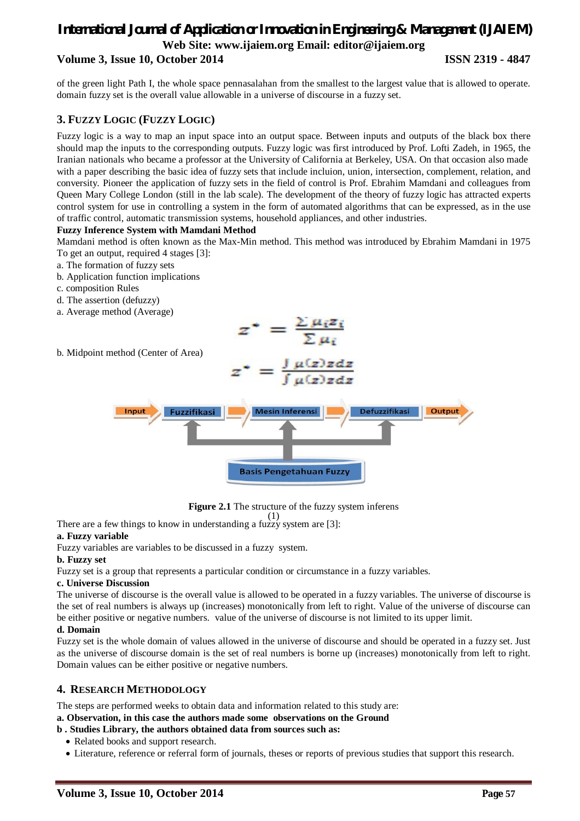# *International Journal of Application or Innovation in Engineering & Management (IJAIEM)* **Web Site: www.ijaiem.org Email: editor@ijaiem.org Volume 3, Issue 10, October 2014 ISSN 2319 - 4847**

of the green light Path I, the whole space pennasalahan from the smallest to the largest value that is allowed to operate. domain fuzzy set is the overall value allowable in a universe of discourse in a fuzzy set.

#### **3. FUZZY LOGIC (FUZZY LOGIC)**

Fuzzy logic is a way to map an input space into an output space. Between inputs and outputs of the black box there should map the inputs to the corresponding outputs. Fuzzy logic was first introduced by Prof. Lofti Zadeh, in 1965, the Iranian nationals who became a professor at the University of California at Berkeley, USA. On that occasion also made with a paper describing the basic idea of fuzzy sets that include incluion, union, intersection, complement, relation, and conversity. Pioneer the application of fuzzy sets in the field of control is Prof. Ebrahim Mamdani and colleagues from Queen Mary College London (still in the lab scale). The development of the theory of fuzzy logic has attracted experts control system for use in controlling a system in the form of automated algorithms that can be expressed, as in the use of traffic control, automatic transmission systems, household appliances, and other industries.

#### **Fuzzy Inference System with Mamdani Method**

Mamdani method is often known as the Max-Min method. This method was introduced by Ebrahim Mamdani in 1975 To get an output, required 4 stages [3]:

 $z^* = \frac{\sum \mu_i z_i}{\sum \mu_i}$ 

- a. The formation of fuzzy sets
- b. Application function implications
- c. composition Rules
- d. The assertion (defuzzy)
- a. Average method (Average)





**Figure 2.1** The structure of the fuzzy system inferens

There are a few things to know in understanding a fuzzy system are [3]: (1)

#### **a. Fuzzy variable**

Fuzzy variables are variables to be discussed in a fuzzy system.

#### **b. Fuzzy set**

Fuzzy set is a group that represents a particular condition or circumstance in a fuzzy variables.

#### **c. Universe Discussion**

The universe of discourse is the overall value is allowed to be operated in a fuzzy variables. The universe of discourse is the set of real numbers is always up (increases) monotonically from left to right. Value of the universe of discourse can be either positive or negative numbers. value of the universe of discourse is not limited to its upper limit.

#### **d. Domain**

Fuzzy set is the whole domain of values allowed in the universe of discourse and should be operated in a fuzzy set. Just as the universe of discourse domain is the set of real numbers is borne up (increases) monotonically from left to right. Domain values can be either positive or negative numbers.

#### **4. RESEARCH METHODOLOGY**

The steps are performed weeks to obtain data and information related to this study are:

#### **a. Observation, in this case the authors made some observations on the Ground**

#### **b . Studies Library, the authors obtained data from sources such as:**

- Related books and support research.
- Literature, reference or referral form of journals, theses or reports of previous studies that support this research.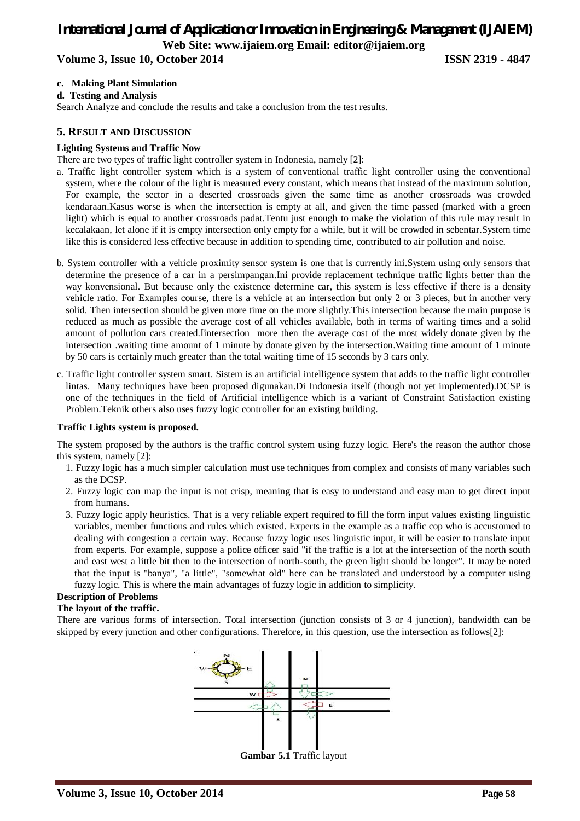# *International Journal of Application or Innovation in Engineering & Management (IJAIEM)* **Web Site: www.ijaiem.org Email: editor@ijaiem.org**

# **Volume 3, Issue 10, October 2014 ISSN 2319 - 4847**

#### **c. Making Plant Simulation**

#### **d. Testing and Analysis**

Search Analyze and conclude the results and take a conclusion from the test results.

#### **5. RESULT AND DISCUSSION**

#### **Lighting Systems and Traffic Now**

There are two types of traffic light controller system in Indonesia, namely [2]:

- a. Traffic light controller system which is a system of conventional traffic light controller using the conventional system, where the colour of the light is measured every constant, which means that instead of the maximum solution, For example, the sector in a deserted crossroads given the same time as another crossroads was crowded kendaraan.Kasus worse is when the intersection is empty at all, and given the time passed (marked with a green light) which is equal to another crossroads padat.Tentu just enough to make the violation of this rule may result in kecalakaan, let alone if it is empty intersection only empty for a while, but it will be crowded in sebentar.System time like this is considered less effective because in addition to spending time, contributed to air pollution and noise.
- b. System controller with a vehicle proximity sensor system is one that is currently ini.System using only sensors that determine the presence of a car in a persimpangan.Ini provide replacement technique traffic lights better than the way konvensional. But because only the existence determine car, this system is less effective if there is a density vehicle ratio. For Examples course, there is a vehicle at an intersection but only 2 or 3 pieces, but in another very solid. Then intersection should be given more time on the more slightly.This intersection because the main purpose is reduced as much as possible the average cost of all vehicles available, both in terms of waiting times and a solid amount of pollution cars created.Iintersection more then the average cost of the most widely donate given by the intersection .waiting time amount of 1 minute by donate given by the intersection.Waiting time amount of 1 minute by 50 cars is certainly much greater than the total waiting time of 15 seconds by 3 cars only.
- c. Traffic light controller system smart. Sistem is an artificial intelligence system that adds to the traffic light controller lintas. Many techniques have been proposed digunakan.Di Indonesia itself (though not yet implemented).DCSP is one of the techniques in the field of Artificial intelligence which is a variant of Constraint Satisfaction existing Problem.Teknik others also uses fuzzy logic controller for an existing building.

#### **Traffic Lights system is proposed.**

The system proposed by the authors is the traffic control system using fuzzy logic. Here's the reason the author chose this system, namely [2]:

- 1. Fuzzy logic has a much simpler calculation must use techniques from complex and consists of many variables such as the DCSP.
- 2. Fuzzy logic can map the input is not crisp, meaning that is easy to understand and easy man to get direct input from humans.
- 3. Fuzzy logic apply heuristics. That is a very reliable expert required to fill the form input values existing linguistic variables, member functions and rules which existed. Experts in the example as a traffic cop who is accustomed to dealing with congestion a certain way. Because fuzzy logic uses linguistic input, it will be easier to translate input from experts. For example, suppose a police officer said "if the traffic is a lot at the intersection of the north south and east west a little bit then to the intersection of north-south, the green light should be longer". It may be noted that the input is "banya", "a little", "somewhat old" here can be translated and understood by a computer using fuzzy logic. This is where the main advantages of fuzzy logic in addition to simplicity.

#### **Description of Problems**

#### **The layout of the traffic.**

There are various forms of intersection. Total intersection (junction consists of 3 or 4 junction), bandwidth can be skipped by every junction and other configurations. Therefore, in this question, use the intersection as follows[2]:



**Gambar 5.1** Traffic layout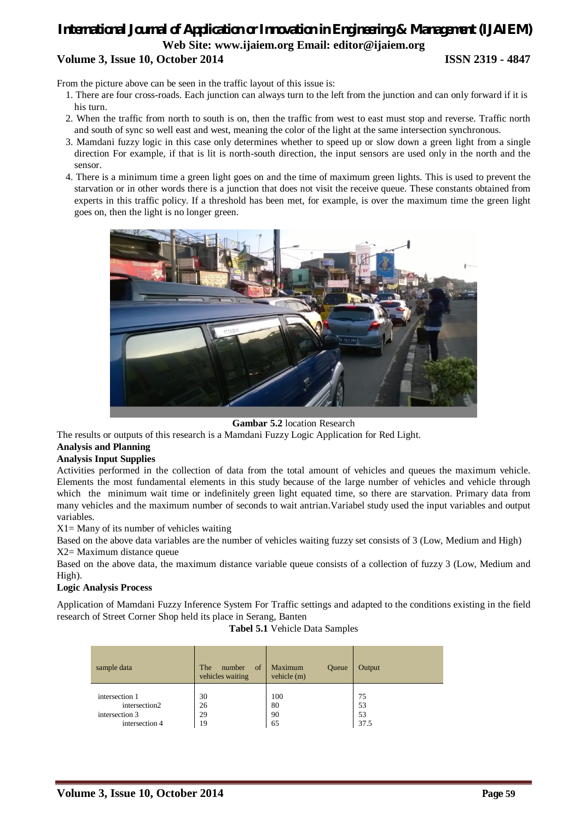# *International Journal of Application or Innovation in Engineering & Management (IJAIEM)* **Web Site: www.ijaiem.org Email: editor@ijaiem.org Volume 3, Issue 10, October 2014 ISSN 2319 - 4847**

From the picture above can be seen in the traffic layout of this issue is:

- 1. There are four cross-roads. Each junction can always turn to the left from the junction and can only forward if it is his turn.
- 2. When the traffic from north to south is on, then the traffic from west to east must stop and reverse. Traffic north and south of sync so well east and west, meaning the color of the light at the same intersection synchronous.
- 3. Mamdani fuzzy logic in this case only determines whether to speed up or slow down a green light from a single direction For example, if that is lit is north-south direction, the input sensors are used only in the north and the sensor.
- 4. There is a minimum time a green light goes on and the time of maximum green lights. This is used to prevent the starvation or in other words there is a junction that does not visit the receive queue. These constants obtained from experts in this traffic policy. If a threshold has been met, for example, is over the maximum time the green light goes on, then the light is no longer green.



**Gambar 5.2** location Research

The results or outputs of this research is a Mamdani Fuzzy Logic Application for Red Light.

#### **Analysis and Planning**

#### **Analysis Input Supplies**

Activities performed in the collection of data from the total amount of vehicles and queues the maximum vehicle. Elements the most fundamental elements in this study because of the large number of vehicles and vehicle through which the minimum wait time or indefinitely green light equated time, so there are starvation. Primary data from many vehicles and the maximum number of seconds to wait antrian.Variabel study used the input variables and output variables.

 $X1 =$  Many of its number of vehicles waiting

Based on the above data variables are the number of vehicles waiting fuzzy set consists of 3 (Low, Medium and High) X2= Maximum distance queue

Based on the above data, the maximum distance variable queue consists of a collection of fuzzy 3 (Low, Medium and High).

#### **Logic Analysis Process**

Application of Mamdani Fuzzy Inference System For Traffic settings and adapted to the conditions existing in the field research of Street Corner Shop held its place in Serang, Banten

**Tabel 5.1** Vehicle Data Samples

| sample data    | of<br>The<br>number<br>vehicles waiting | Maximum<br><b>Oueue</b><br>vehicle (m) | Output |
|----------------|-----------------------------------------|----------------------------------------|--------|
| intersection 1 | 30                                      | 100                                    | 75     |
| intersection2  | 26                                      | 80                                     | 53     |
| intersection 3 | 29                                      | 90                                     | 53     |
| intersection 4 | 19                                      | 65                                     | 37.5   |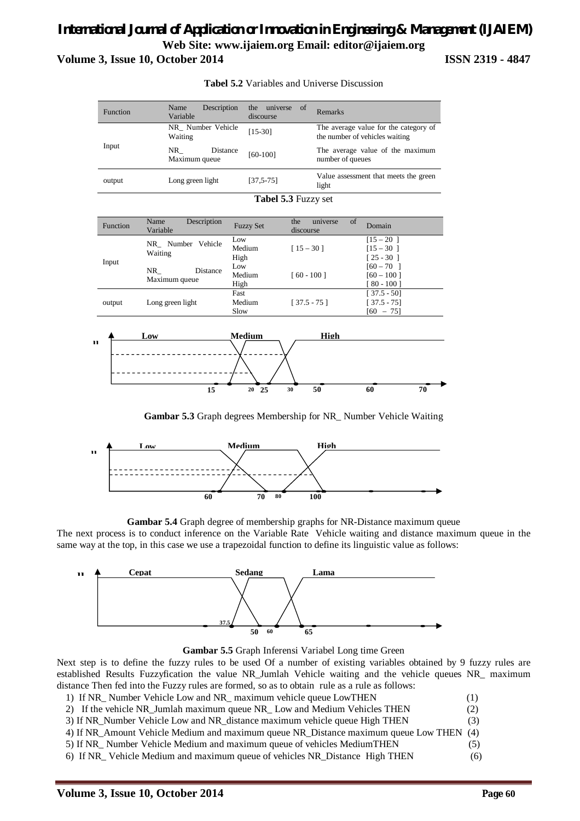# *International Journal of Application or Innovation in Engineering & Management (IJAIEM)* **Web Site: www.ijaiem.org Email: editor@ijaiem.org Volume 3, Issue 10, October 2014 ISSN 2319 - 4847**



**Tabel 5.2** Variables and Universe Discussion

**Gambar 5.3** Graph degrees Membership for NR\_ Number Vehicle Waiting



**Gambar 5.4** Graph degree of membership graphs for NR-Distance maximum queue

The next process is to conduct inference on the Variable Rate Vehicle waiting and distance maximum queue in the same way at the top, in this case we use a trapezoidal function to define its linguistic value as follows:



**Gambar 5.5** Graph Inferensi Variabel Long time Green

Next step is to define the fuzzy rules to be used Of a number of existing variables obtained by 9 fuzzy rules are established Results Fuzzyfication the value NR\_Jumlah Vehicle waiting and the vehicle queues NR\_ maximum distance Then fed into the Fuzzy rules are formed, so as to obtain rule as a rule as follows:

- 1) If NR\_ Number Vehicle Low and NR\_ maximum vehicle queue LowTHEN (1)
- 2) If the vehicle NR\_Jumlah maximum queue NR\_ Low and Medium Vehicles THEN (2)
- 3) If NR\_Number Vehicle Low and NR\_distance maximum vehicle queue High THEN (3)
- 4) If NR\_Amount Vehicle Medium and maximum queue NR\_Distance maximum queue Low THEN (4)
- 5) If NR\_ Number Vehicle Medium and maximum queue of vehicles MediumTHEN (5)
- 6) If NR\_ Vehicle Medium and maximum queue of vehicles NR\_Distance High THEN (6)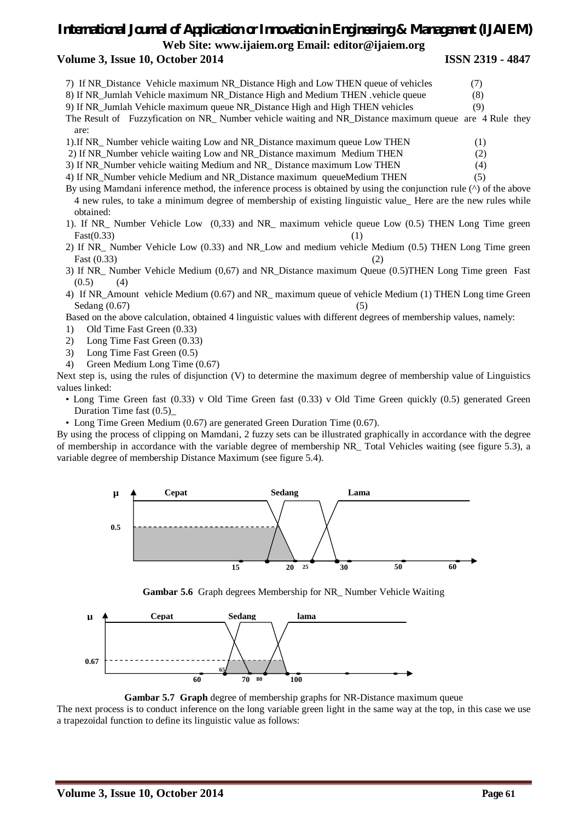# *International Journal of Application or Innovation in Engineering & Management (IJAIEM)* **Web Site: www.ijaiem.org Email: editor@ijaiem.org**

#### **Volume 3, Issue 10, October 2014 ISSN 2319 - 4847**

- 7) If NR\_Distance Vehicle maximum NR\_Distance High and Low THEN queue of vehicles (7)
- 8) If NR\_Jumlah Vehicle maximum NR\_Distance High and Medium THEN .vehicle queue (8)
- 9) If NR\_Jumlah Vehicle maximum queue NR\_Distance High and High THEN vehicles (9)
- The Result of Fuzzyfication on NR\_ Number vehicle waiting and NR\_Distance maximum queue are 4 Rule they are:
- 1).If NR\_ Number vehicle waiting Low and NR\_Distance maximum queue Low THEN (1)
- 2) If NR\_Number vehicle waiting Low and NR\_Distance maximum Medium THEN (2)
- 3) If NR\_Number vehicle waiting Medium and NR\_ Distance maximum Low THEN (4)
- 4) If NR Number vehicle Medium and NR Distance maximum queueMedium THEN (5)
- By using Mamdani inference method, the inference process is obtained by using the conjunction rule (^) of the above 4 new rules, to take a minimum degree of membership of existing linguistic value\_ Here are the new rules while obtained:
- 1). If NR\_ Number Vehicle Low (0,33) and NR\_ maximum vehicle queue Low (0.5) THEN Long Time green  $Fast(0.33)$  (1)
- 2) If NR\_ Number Vehicle Low (0.33) and NR\_Low and medium vehicle Medium (0.5) THEN Long Time green Fast  $(0.33)$  (2)
- 3) If NR\_ Number Vehicle Medium (0,67) and NR\_Distance maximum Queue (0.5)THEN Long Time green Fast  $(0.5)$  (4)
- 4) If NR\_Amount vehicle Medium (0.67) and NR\_ maximum queue of vehicle Medium (1) THEN Long time Green  $Sedang (0.67)$  (5)
- Based on the above calculation, obtained 4 linguistic values with different degrees of membership values, namely:
- 1) Old Time Fast Green (0.33)
- 2) Long Time Fast Green (0.33)
- 3) Long Time Fast Green (0.5)
- 4) Green Medium Long Time (0.67)

Next step is, using the rules of disjunction (V) to determine the maximum degree of membership value of Linguistics values linked:

- Long Time Green fast (0.33) v Old Time Green fast (0.33) v Old Time Green quickly (0.5) generated Green Duration Time fast  $(0.5)$
- Long Time Green Medium (0.67) are generated Green Duration Time (0.67).

By using the process of clipping on Mamdani, 2 fuzzy sets can be illustrated graphically in accordance with the degree of membership in accordance with the variable degree of membership NR\_ Total Vehicles waiting (see figure 5.3), a variable degree of membership Distance Maximum (see figure 5.4).







**Gambar 5.7 Graph** degree of membership graphs for NR-Distance maximum queue

The next process is to conduct inference on the long variable green light in the same way at the top, in this case we use a trapezoidal function to define its linguistic value as follows: